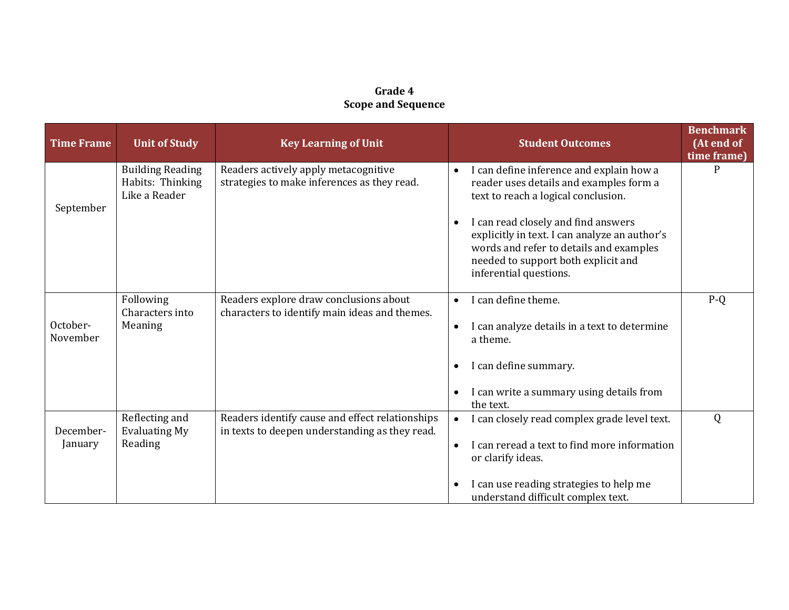## **Grade 4 Scope and Sequence**

| <b>Time Frame</b>    | <b>Unit of Study</b>                                         | <b>Key Learning of Unit</b>                                                                       |           | <b>Student Outcomes</b>                                                                                                                                                                          | <b>Benchmark</b><br>(At end of<br>time frame) |
|----------------------|--------------------------------------------------------------|---------------------------------------------------------------------------------------------------|-----------|--------------------------------------------------------------------------------------------------------------------------------------------------------------------------------------------------|-----------------------------------------------|
| September            | <b>Building Reading</b><br>Habits: Thinking<br>Like a Reader | Readers actively apply metacognitive<br>strategies to make inferences as they read.               | $\bullet$ | I can define inference and explain how a<br>reader uses details and examples form a<br>text to reach a logical conclusion.                                                                       |                                               |
|                      |                                                              |                                                                                                   | $\bullet$ | I can read closely and find answers<br>explicitly in text. I can analyze an author's<br>words and refer to details and examples<br>needed to support both explicit and<br>inferential questions. |                                               |
| October-<br>November | Following<br>Characters into                                 | Readers explore draw conclusions about<br>characters to identify main ideas and themes.           | $\bullet$ | I can define theme.                                                                                                                                                                              | $P-Q$                                         |
|                      | Meaning                                                      |                                                                                                   | $\bullet$ | I can analyze details in a text to determine<br>a theme.                                                                                                                                         |                                               |
|                      |                                                              |                                                                                                   | $\bullet$ | I can define summary.                                                                                                                                                                            |                                               |
|                      |                                                              |                                                                                                   | $\bullet$ | I can write a summary using details from<br>the text.                                                                                                                                            |                                               |
| December-<br>January | Reflecting and<br><b>Evaluating My</b>                       | Readers identify cause and effect relationships<br>in texts to deepen understanding as they read. | $\bullet$ | I can closely read complex grade level text.                                                                                                                                                     | Q                                             |
|                      | Reading                                                      |                                                                                                   | $\bullet$ | I can reread a text to find more information<br>or clarify ideas.                                                                                                                                |                                               |
|                      |                                                              |                                                                                                   | $\bullet$ | I can use reading strategies to help me<br>understand difficult complex text.                                                                                                                    |                                               |